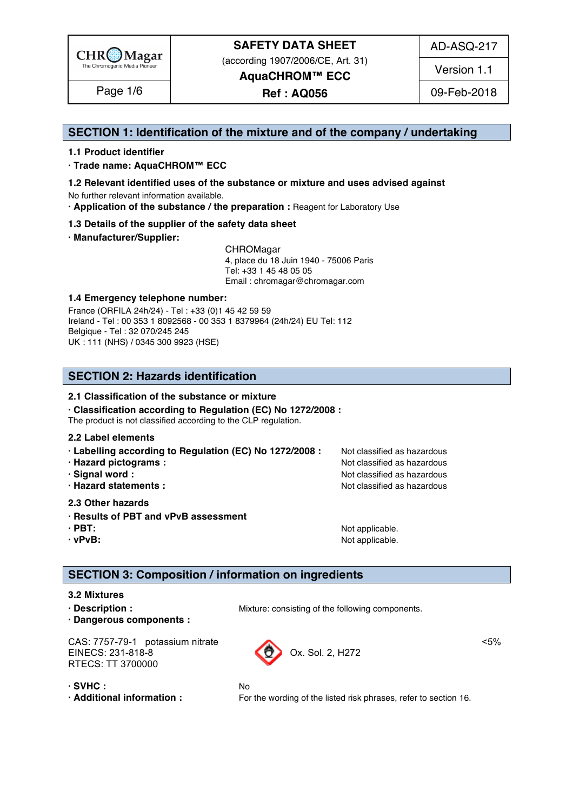

(according 1907/2006/CE, Art. 31) **AquaCHROM™ ECC**

AD-ASQ-217

Version 1.1

Page 1/6 | **Ref : AQ056** | 09-Feb-2018

#### **SECTION 1: Identification of the mixture and of the company / undertaking** 1

#### **1.1 Product identifier** 2

**· Trade name: AquaCHROM™ ECC** 3

- **1.2 Relevant identified uses of the substance or mixture and uses advised against** 4 No further relevant information available. 5
- **· Application of the substance / the preparation :** Reagent for Laboratory Use 6

#### **1.3 Details of the supplier of the safety data sheet** 7

**· Manufacturer/Supplier:** 8

CHROMagar 9 4, place du 18 Juin 1940 - 75006 Paris 10 Tel: +33 1 45 48 05 05 11 11 12 11 12 11 12 11 12 11 12 11 12 11 12 11 12 11 12 1 Email : chromagar@chromagar.com 12

#### **1.4 Emergency telephone number:**  $\blacksquare$  **1.4 Emergency telephone number:**

France (ORFILA 24h/24) - Tel: +33 (0)1 45 42 59 59 Ireland - Tel: 00 353 1 8092568 - 00 353 1 8379964 (24h/24) EU Tel: 112 Belgique - Tel : 32 070/245 245 16 UK : 111 (NHS) / 0345 300 9923 (HSE) 17

#### **SECTION 2: Hazards identification** 20

#### **2.1 Classification of the substance or mixture** 21

**· Classification according to Regulation (EC) No 1272/2008 :** 22

The product is not classified according to the CLP regulation.

#### **2.2 Label elements** 24

- **· Labelling according to Regulation (EC) No 1272/2008 :** Not classified as hazardous 25
- **· Hazard pictograms :** Not classified as hazardous 26 and 26 and 26 and 26 and 26 and 26 and 26 and 26 and 26 and 26 and 26 and 26 and 26 and 26 and 26 and 26 and 26 and 26 and 26 and 26 and 26 and 26 and 26 and 26 and 26
- **· Signal word :** Not classified as hazardous 27 and 27 and 27 and 27 and 27 and 27 and 27 and 27 and 27 and 27 and 27 and 27 and 27 and 27 and 27 and 27 and 27 and 27 and 27 and 27 and 27 and 27 and 27 and 27 and 27 and 2
- **· Hazard statements :** Not classified as hazardous 28 and 28 and 28 and 28 and 28 and 28 and 28 and 28 and 28 and 28 and 28 and 28 and 28 and 28 and 28 and 28 and 28 and 28 and 28 and 28 and 28 and 28 and 28 and 28 and 28

#### **2.3 Other hazards** 29

- **· Results of PBT and vPvB assessment** 30
- **· PBT:**  $\blacksquare$  **PBT:**  $\blacksquare$  **PBT:**  $\blacksquare$  **Not applicable.**  $\blacksquare$   $\blacksquare$   $\blacksquare$   $\blacksquare$   $\blacksquare$   $\blacksquare$   $\blacksquare$   $\blacksquare$   $\blacksquare$   $\blacksquare$   $\blacksquare$   $\blacksquare$   $\blacksquare$   $\blacksquare$   $\blacksquare$   $\blacksquare$   $\blacksquare$   $\blacksquare$   $\blacksquare$   $\blacksquare$   $\blacksquare$   $\blacksquare$   $\blacksquare$
- 

**· vPvB:**  $\bullet$  **·**  $\bullet$  **122 ·**  $\bullet$  **122 ·**  $\bullet$  **·**  $\bullet$  **·**  $\bullet$  **·**  $\bullet$  **·**  $\bullet$  **·**  $\bullet$  **·**  $\bullet$  **·**  $\bullet$  **·**  $\bullet$  **·**  $\bullet$  **·**  $\bullet$  **·**  $\bullet$  **·**  $\bullet$  **·**  $\bullet$  **·**  $\bullet$  **·**  $\bullet$  **·**  $\bullet$  **·**  $\bullet$  **·**  $\bullet$  **·**  $\$ 

#### **SECTION 3: Composition / information on ingredients**

#### **3.2 Mixtures** 36

- 
- **· Dangerous components :** 38

**· Description : 1988 1988 1998 Mixture: consisting of the following components.** 

CAS: 7757-79-1 potassium nitrate <5% EINECS: 231-818-8 CONSIDERING CONSIDER 231-818-8 RTECS: TT 3700000

- 
- 

**· SVHC :** No 41 **· Additional information :** For the wording of the listed risk phrases, refer to section 16.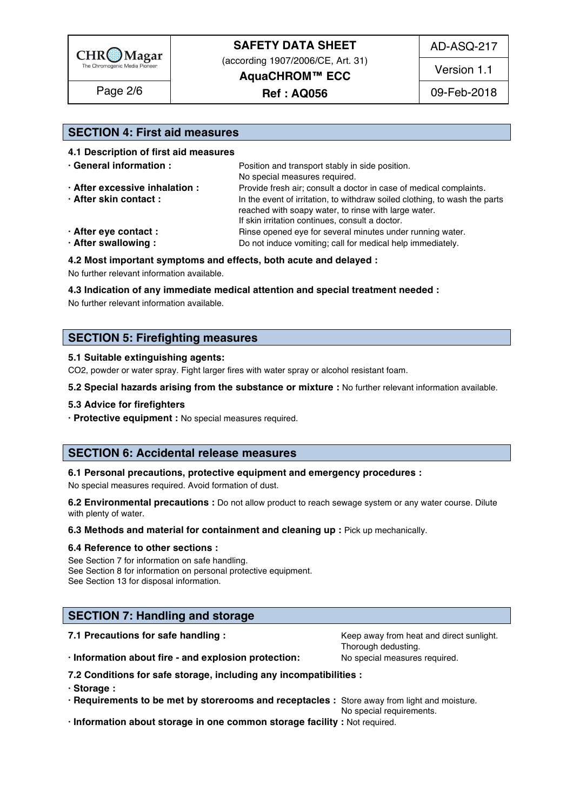

AD-ASQ-217

(according 1907/2006/CE, Art. 31)

**AquaCHROM™ ECC**

Page 2/6 | **Ref : AQ056** 199-Feb-2018

Version 1.1

#### **SECTION 4: First aid measures** 46

**After eye contact : Rinse opened eye for several minutes under running water.** 54

**After swallowing :** Do not induce vomiting; call for medical help immediately.

#### **4.2 Most important symptoms and effects, both acute and delayed :** 56

No further relevant information available. 57

#### **4.3 Indication of any immediate medical attention and special treatment needed :** 58

No further relevant information available. See the control of the control of the control of the control of the control of the control of the control of the control of the control of the control of the control of the contro

#### **SECTION 5: Firefighting measures**

#### **5.1 Suitable extinguishing agents:** 63

CO2, powder or water spray. Fight larger fires with water spray or alcohol resistant foam.

#### **5.2 Special hazards arising from the substance or mixture :** No further relevant information available. 65

#### **5.3 Advice for firefighters** 66

**· Protective equipment :** No special measures required. 67

#### **SECTION 6: Accidental release measures**

### **6.1 Personal precautions, protective equipment and emergency procedures :** 71

No special measures required. Avoid formation of dust.

**6.2 Environmental precautions :** Do not allow product to reach sewage system or any water course. Dilute with plenty of water. The contract of the contract of the contract of the contract of the contract of the contract of the contract of the contract of the contract of the contract of the contract of the contract of the cont

#### **6.3 Methods and material for containment and cleaning up : Pick up mechanically.**

#### **6.4 Reference to other sections :** 76

See Section 7 for information on safe handling. The section of the section of the section of the section of the section of the section of the section of the section of the section of the section of the section of the secti See Section 8 for information on personal protective equipment. See Section 13 for disposal information. The section of the section of the section of the section of the section of the section of the section of the section of the section of the section of the section of the section of t

#### **SECTION 7: Handling and storage**

**7.1 Precautions for safe handling : Keep away from heat and direct sunlight.** 83

Thorough dedusting.

**· Information about fire - and explosion protection:** No special measures required.

**7.2 Conditions for safe storage, including any incompatibilities :** 86

**· Storage :** 87

**· Requirements to be met by storerooms and receptacles :** Store away from light and moisture.

No special requirements.

**· Information about storage in one common storage facility :** Not required. 90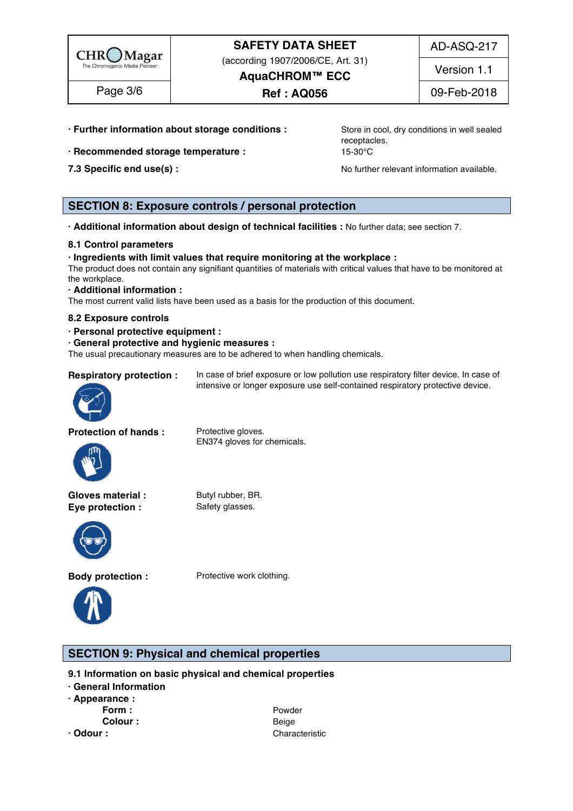

(according 1907/2006/CE, Art. 31)

Version 1.1

Page 3/6 | **Ref : AQ056** 109-Feb-2018

**AquaCHROM™ ECC**

**· Further information about storage conditions :** Store in cool, dry conditions in well sealed

- **· Recommended storage temperature : <br>15-30°C**
- 

receptacles. **Example 2020** 

**7.3 Specific end use(s) : No further relevant information available.** 97.3 Specific end use(s) :

### **SECTION 8: Exposure controls / personal protection**

**· Additional information about design of technical facilities :** No further data; see section 7. 99

#### **8.1 Control parameters** 100

#### **· Ingredients with limit values that require monitoring at the workplace :** 101

The product does not contain any signifiant quantities of materials with critical values that have to be monitored at  $\epsilon$  the workplace. The mass of  $\epsilon$  is a set of  $\epsilon$  is a set of  $\epsilon$  is a set of  $\epsilon$  is a set of  $\epsilon$  is a set of  $\epsilon$  is a set of  $\epsilon$  is a set of  $\epsilon$  is a set of  $\epsilon$  is a set of  $\epsilon$  is a set of  $\epsilon$  is a set of  $\$ 

#### **· Additional information :** 104

The most current valid lists have been used as a basis for the production of this document.

#### **8.2 Exposure controls** 106

- **· Personal protective equipment :** 107
- **· General protective and hygienic measures :** 108

The usual precautionary measures are to be adhered to when handling chemicals.

**Respiratory protection :** In case of brief exposure or low pollution use respiratory filter device. In case of intensive or longer exposure use self-contained respiratory protective device.



**Protection of hands :** Protective gloves.



EN374 gloves for chemicals.

Gloves material : Butyl rubber, BR. **Eye protection :** Safety glasses.



**Body protection :** Protective work clothing.



**SECTION 9: Physical and chemical properties** 

**9.1 Information on basic physical and chemical properties** 

- **· General Information** 115
- **· Appearance :** 116
	-
	-

**Form : Powder 117 Powder 117 Powder** 117 **117 Powder Colour :** Beige 118 **· Odour :** Characteristic 1199 Characteristic 1199 Characteristic 1199 Characteristic 1199 Characteristic 1199 Characteristic 1199 Characteristic 1199 Characteristic 1199 Characteristic 1199 Characteristic 1199 Characteri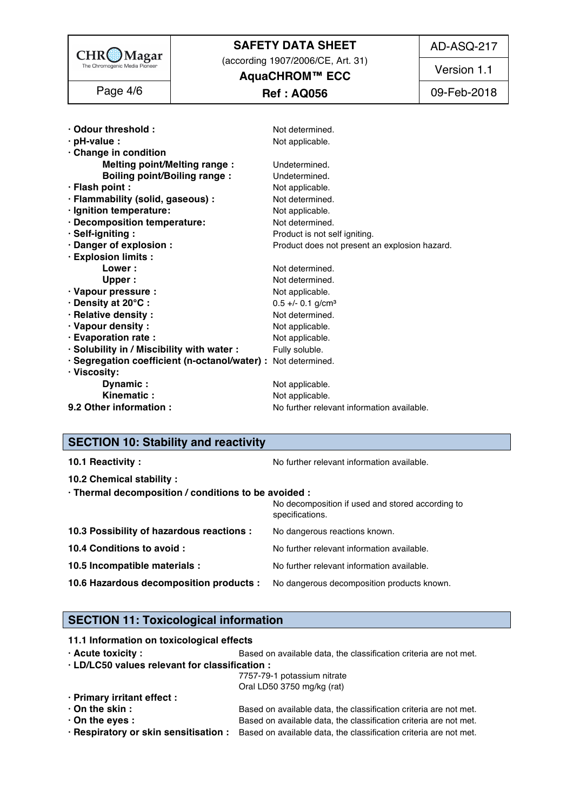|                                                                 | <b>SAFETY DATA SHEET</b>                                   | AD-ASQ-217  |
|-----------------------------------------------------------------|------------------------------------------------------------|-------------|
| $CHR\underset{\text{The Chromogenic Median Pioneer}}{\bigcirc}$ | (according 1907/2006/CE, Art. 31)<br><b>AquaCHROM™ ECC</b> | Version 1.1 |
| Page 4/6                                                        | <b>Ref : AQ056</b>                                         | 09-Feb-2018 |
|                                                                 |                                                            |             |
| · Odour threshold:                                              | Not determined.                                            |             |
| $\cdot$ pH-value :                                              | Not applicable.                                            |             |
| Change in condition                                             |                                                            |             |
| <b>Melting point/Melting range:</b>                             | Undetermined.                                              |             |
| <b>Boiling point/Boiling range:</b>                             | Undetermined.                                              |             |
| · Flash point :                                                 | Not applicable.                                            |             |
| · Flammability (solid, gaseous) :                               | Not determined.                                            |             |
| · Ignition temperature:                                         | Not applicable.                                            |             |
| · Decomposition temperature:                                    | Not determined.                                            |             |
| · Self-igniting:                                                | Product is not self igniting.                              |             |
| · Danger of explosion :<br>· Explosion limits :                 | Product does not present an explosion hazard.              |             |
| Lower:                                                          | Not determined.                                            |             |
| Upper:                                                          | Not determined.                                            |             |
| · Vapour pressure :                                             | Not applicable.                                            |             |
| · Density at 20°C:                                              | $0.5 +/- 0.1$ g/cm <sup>3</sup>                            |             |
| · Relative density:                                             | Not determined.                                            |             |
| · Vapour density:                                               | Not applicable.                                            |             |
| · Evaporation rate :                                            | Not applicable.                                            |             |
| · Solubility in / Miscibility with water :                      | Fully soluble.                                             |             |
| · Segregation coefficient (n-octanol/water) : Not determined.   |                                                            |             |
| Viscosity:                                                      |                                                            |             |
| Dynamic:                                                        | Not applicable.                                            |             |
| Kinematic:                                                      | Not applicable.                                            |             |
| 9.2 Other information :                                         | No further relevant information available.                 |             |

### **SECTION 10: Stability and reactivity**

| 10.1 Reactivity:                                                                   | No further relevant information available.                          |
|------------------------------------------------------------------------------------|---------------------------------------------------------------------|
| 10.2 Chemical stability :                                                          |                                                                     |
| · Thermal decomposition / conditions to be avoided :                               |                                                                     |
|                                                                                    | No decomposition if used and stored according to<br>specifications. |
| 10.3 Possibility of hazardous reactions :                                          | No dangerous reactions known.                                       |
| 10.4 Conditions to avoid :                                                         | No further relevant information available.                          |
| 10.5 Incompatible materials :                                                      | No further relevant information available.                          |
| 10.6 Hazardous decomposition products : No dangerous decomposition products known. |                                                                     |

### **SECTION 11: Toxicological information**

**11.1 Information on toxicological effects** 

| $\cdot$ Acute toxicity : | Based on available data, the classification criteria are not met. |  |  |  |  |
|--------------------------|-------------------------------------------------------------------|--|--|--|--|
|--------------------------|-------------------------------------------------------------------|--|--|--|--|

 $\cdot$  LD/LC50 values relevant for classification :

| 7757-79-1 potassium nitrate                                                                             |
|---------------------------------------------------------------------------------------------------------|
| Oral LD50 3750 mg/kg (rat)                                                                              |
|                                                                                                         |
| Based on available data, the classification criteria are not met.                                       |
| Based on available data, the classification criteria are not met.                                       |
| · Respiratory or skin sensitisation : Based on available data, the classification criteria are not met. |
|                                                                                                         |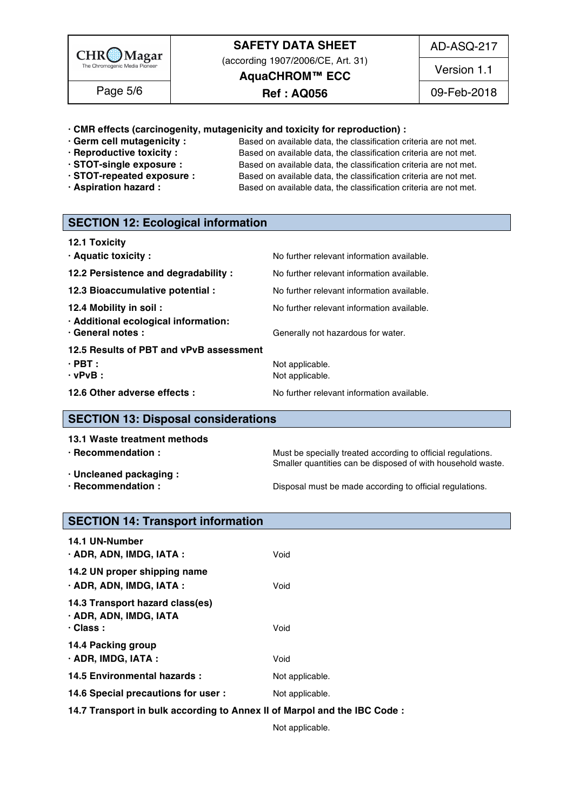

(according 1907/2006/CE, Art. 31)

AD-ASQ-217

**AquaCHROM™ ECC**

### Page 5/6 | **Ref : AQ056** 199-Feb-2018

Version 1.1

**· CMR effects (carcinogenity, mutagenicity and toxicity for reproduction) :** 169

- 
- 
- 
- 
- 

**· Germ cell mutagenicity :** Based on available data, the classification criteria are not met.<br>**Reproductive toxicity :** Based on available data, the classification criteria are not met. Based on available data, the classification criteria are not met. **· STOT-single exposure :** Based on available data, the classification criteria are not met. **· STOT-repeated exposure :** Based on available data, the classification criteria are not met. **· Aspiration hazard :** Based on available data, the classification criteria are not met.

### **SECTION 12: Ecological information**

| 12.1 Toxicity                                                                        |                                                                                  |  |  |
|--------------------------------------------------------------------------------------|----------------------------------------------------------------------------------|--|--|
| · Aquatic toxicity:                                                                  | No further relevant information available.                                       |  |  |
| 12.2 Persistence and degradability :                                                 | No further relevant information available.                                       |  |  |
| 12.3 Bioaccumulative potential :                                                     | No further relevant information available.                                       |  |  |
| 12.4 Mobility in soil :<br>· Additional ecological information:<br>· General notes : | No further relevant information available.<br>Generally not hazardous for water. |  |  |
| 12.5 Results of PBT and vPvB assessment                                              |                                                                                  |  |  |
| $\cdot$ PBT :                                                                        | Not applicable.                                                                  |  |  |
| $\cdot$ vPvB :                                                                       | Not applicable.                                                                  |  |  |
| 12.6 Other adverse effects :                                                         | No further relevant information available.                                       |  |  |

#### **SECTION 13: Disposal considerations**

| · Recommendation :<br>Must be specially treated according to official regulations.<br>Smaller quantities can be disposed of with household waste.<br>· Uncleaned packaging : | 13.1 Waste treatment methods |                                                          |
|------------------------------------------------------------------------------------------------------------------------------------------------------------------------------|------------------------------|----------------------------------------------------------|
|                                                                                                                                                                              |                              |                                                          |
|                                                                                                                                                                              |                              |                                                          |
|                                                                                                                                                                              |                              |                                                          |
|                                                                                                                                                                              | $\cdot$ Recommendation :     | Disposal must be made according to official regulations. |

### **SECTION 14: Transport information**

| <b>14.1 UN-Number</b><br>· ADR, ADN, IMDG, IATA :                            | Void            |
|------------------------------------------------------------------------------|-----------------|
| 14.2 UN proper shipping name<br>· ADR, ADN, IMDG, IATA :                     | Void            |
| 14.3 Transport hazard class(es)<br>· ADR, ADN, IMDG, IATA<br>$\cdot$ Class : | Void            |
| 14.4 Packing group<br>$\cdot$ ADR, IMDG, IATA :                              | Void            |
| 14.5 Environmental hazards :                                                 | Not applicable. |
| 14.6 Special precautions for user :                                          | Not applicable. |
| 14.7 Transport in bulk according to Annex II of Marpol and the IBC Code :    |                 |

Not applicable. 211